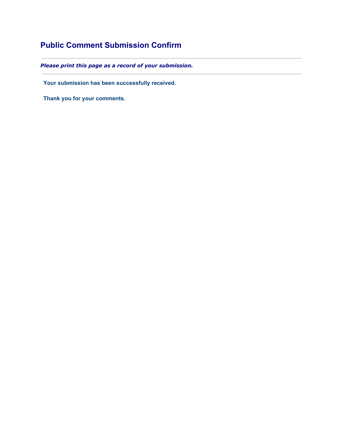## **Public Comment Submission Confirm**

*Please print this page as a record of your submission.*

**Your submission has been successfully received.**

**Thank you for your comments.**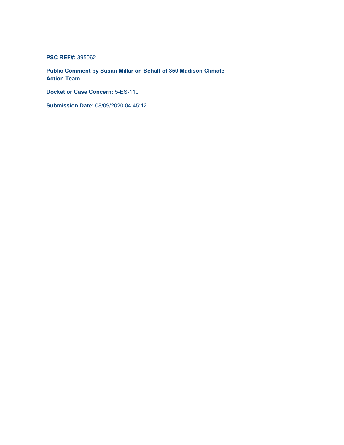**PSC REF#:** 395062

**Public Comment by Susan Millar on Behalf of 350 Madison Climate Action Team**

**Docket or Case Concern:** 5-ES-110

**Submission Date:** 08/09/2020 04:45:12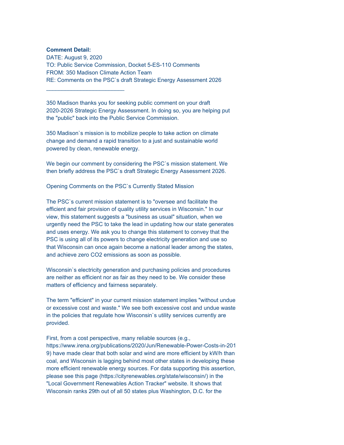## **Comment Detail:**

\_\_\_\_\_\_\_\_\_\_\_\_\_\_\_\_\_\_\_\_\_\_\_\_\_

DATE: August 9, 2020 TO: Public Service Commission, Docket 5-ES-110 Comments FROM: 350 Madison Climate Action Team RE: Comments on the PSC`s draft Strategic Energy Assessment 2026

350 Madison thanks you for seeking public comment on your draft 2020-2026 Strategic Energy Assessment. In doing so, you are helping put the "public" back into the Public Service Commission.

350 Madison`s mission is to mobilize people to take action on climate change and demand a rapid transition to a just and sustainable world powered by clean, renewable energy.

We begin our comment by considering the PSC`s mission statement. We then briefly address the PSC`s draft Strategic Energy Assessment 2026.

Opening Comments on the PSC`s Currently Stated Mission

The PSC`s current mission statement is to "oversee and facilitate the efficient and fair provision of quality utility services in Wisconsin." In our view, this statement suggests a "business as usual" situation, when we urgently need the PSC to take the lead in updating how our state generates and uses energy. We ask you to change this statement to convey that the PSC is using all of its powers to change electricity generation and use so that Wisconsin can once again become a national leader among the states, and achieve zero CO2 emissions as soon as possible.

Wisconsin`s electricity generation and purchasing policies and procedures are neither as efficient nor as fair as they need to be. We consider these matters of efficiency and fairness separately.

The term "efficient" in your current mission statement implies "without undue or excessive cost and waste." We see both excessive cost and undue waste in the policies that regulate how Wisconsin`s utility services currently are provided.

First, from a cost perspective, many reliable sources (e.g., https://www.irena.org/publications/2020/Jun/Renewable-Power-Costs-in-201 9) have made clear that both solar and wind are more efficient by kW/h than coal, and Wisconsin is lagging behind most other states in developing these more efficient renewable energy sources. For data supporting this assertion, please see this page (https://cityrenewables.org/state/wisconsin/) in the "Local Government Renewables Action Tracker" website. It shows that Wisconsin ranks 29th out of all 50 states plus Washington, D.C. for the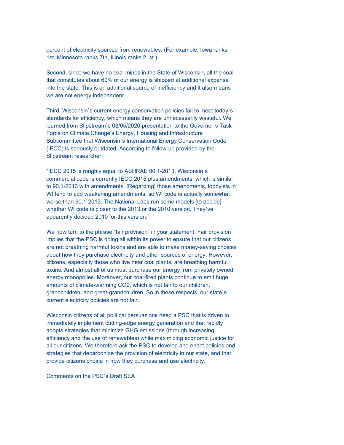percent of electricity sourced from renewables. (For example, Iowa ranks 1st, Minnesota ranks 7th, Illinois ranks 21st.)

Second, since we have no coal mines in the State of Wisconsin, all the coal that constitutes about 60% of our energy is shipped at additional expense into the state. This is an additional source of inefficiency and it also means we are not energy independent.

Third, Wisconsin`s current energy conservation policies fail to meet today`s standards for efficiency, which means they are unnecessarily wasteful. We learned from Slipstream`s 08/05/2020 presentation to the Governor`s Task Force on Climate Change's Energy, Housing and Infrastructure Subcommittee that Wisconsin`s International Energy Conservation Code (IECC) is seriously outdated. According to follow-up provided by the Slipstream researcher:

"IECC 2015 is roughly equal to ASHRAE 90.1-2013. Wisconsin`s commercial code is currently IECC 2015 plus amendments, which is similar to 90.1-2013 with amendments. [Regarding] those amendments, lobbyists in WI tend to add weakening amendments, so WI code is actually somewhat worse than 90.1-2013. The National Labs run some models [to decide] whether WI code is closer to the 2013 or the 2010 version. They`ve apparently decided 2010 for this version."

We now turn to the phrase "fair provision" in your statement. Fair provision implies that the PSC is doing all within its power to ensure that our citizens are not breathing harmful toxins and are able to make money-saving choices about how they purchase electricity and other sources of energy. However, citizens, especially those who live near coal plants, are breathing harmful toxins. And almost all of us must purchase our energy from privately owned energy monopolies. Moreover, our coal-fired plants continue to emit huge amounts of climate-warming CO2, which is not fair to our children, grandchildren, and great-grandchildren. So in these respects, our state`s current electricity policies are not fair.

Wisconsin citizens of all political persuasions need a PSC that is driven to immediately implement cutting-edge energy generation and that rapidly adopts strategies that minimize GHG emissions (through increasing efficiency and the use of renewables) while maximizing economic justice for all our citizens. We therefore ask the PSC to develop and enact policies and strategies that decarbonize the provision of electricity in our state, and that provide citizens choice in how they purchase and use electricity.

Comments on the PSC`s Draft SEA